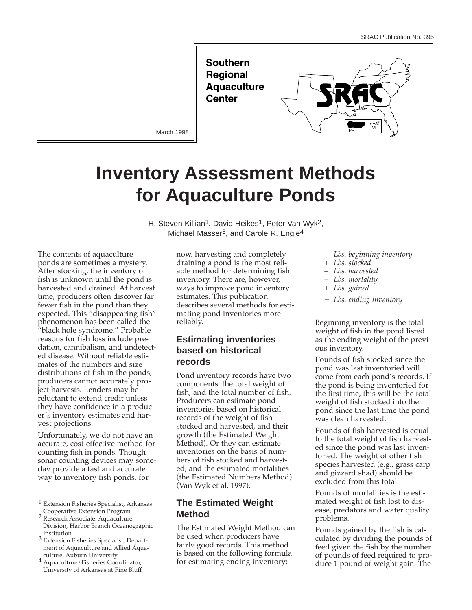**Southern Regional Aquaculture Center** 



March 1998

# **Inventory Assessment Methods for Aquaculture Ponds**

H. Steven Killian<sup>1</sup>, David Heikes<sup>1</sup>, Peter Van Wyk<sup>2</sup>, Michael Masser<sup>3</sup>, and Carole R. Engle<sup>4</sup>

The contents of aquaculture ponds are sometimes a mystery. After stocking, the inventory of fish is unknown until the pond is harvested and drained. At harvest time, producers often discover far fewer fish in the pond than they expected. This "disappearing fish" phenomenon has been called the "black hole syndrome." Probable reasons for fish loss include predation, cannibalism, and undetected disease. Without reliable estimates of the numbers and size distributions of fish in the ponds, producers cannot accurately project harvests. Lenders may be reluctant to extend credit unless they have confidence in a producer's inventory estimates and harvest projections.

Unfortunately, we do not have an accurate, cost-effective method for counting fish in ponds. Though sonar counting devices may someday provide a fast and accurate way to inventory fish ponds, for

- Institution 3 Extension Fisheries Specialist, Department of Aquaculture and Allied Aquaculture, Auburn University
- 4 Aquaculture/Fisheries Coordinator, University of Arkansas at Pine Bluff

now, harvesting and completely draining a pond is the most reliable method for determining fish inventory. There are, however, ways to improve pond inventory estimates. This publication describes several methods for estimating pond inventories more reliably.

# **Estimating inventories based on historical records**

Pond inventory records have two components: the total weight of fish, and the total number of fish. Producers can estimate pond inventories based on historical records of the weight of fish stocked and harvested, and their growth (the Estimated Weight Method). Or they can estimate inventories on the basis of numbers of fish stocked and harvested, and the estimated mortalities (the Estimated Numbers Method). (Van Wyk et al. 1997).

# **The Estimated Weight Method**

The Estimated Weight Method can be used when producers have fairly good records. This method is based on the following formula for estimating ending inventory:

- *Lbs. beginning inventory*
- *+ Lbs. stocked*
- *Lbs. harvested*
- *Lbs. mortality*
- *+ Lbs. gained*
- *= Lbs. ending inventory*

Beginning inventory is the total weight of fish in the pond listed as the ending weight of the previous inventory.

Pounds of fish stocked since the pond was last inventoried will come from each pond's records. If the pond is being inventoried for the first time, this will be the total weight of fish stocked into the pond since the last time the pond was clean harvested.

Pounds of fish harvested is equal to the total weight of fish harvested since the pond was last inventoried. The weight of other fish species harvested (e.g., grass carp and gizzard shad) should be excluded from this total.

Pounds of mortalities is the estimated weight of fish lost to disease, predators and water quality problems.

Pounds gained by the fish is calculated by dividing the pounds of feed given the fish by the number of pounds of feed required to produce 1 pound of weight gain. The

<sup>1</sup> Extension Fisheries Specialist, Arkansas Cooperative Extension Program

<sup>2</sup> Research Associate, Aquaculture Division, Harbor Branch Oceanographic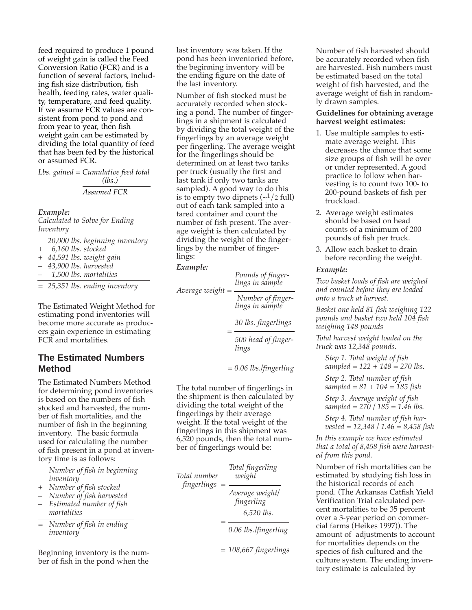feed required to produce 1 pound of weight gain is called the Feed Conversion Ratio (FCR) and is a function of several factors, including fish size distribution, fish health, feeding rates, water quality, temperature, and feed quality. If we assume FCR values are consistent from pond to pond and from year to year, then fish weight gain can be estimated by dividing the total quantity of feed that has been fed by the historical or assumed FCR.

*Lbs. gained = Cumulative feed total (lbs.)*

*Assumed FCR*

#### *Example:*

*Calculated to Solve for Ending Inventory*

- *20,000 lbs. beginning inventory*
- *+ 6,160 lbs. stocked*
- *+ 44,591 lbs. weight gain*
- *– 43,900 lbs. harvested*
- *– 1,500 lbs. mortalities*

*= 25,351 lbs. ending inventory*

The Estimated Weight Method for estimating pond inventories will become more accurate as producers gain experience in estimating FCR and mortalities.

## **The Estimated Numbers Method**

The Estimated Numbers Method for determining pond inventories is based on the numbers of fish stocked and harvested, the number of fish mortalities, and the number of fish in the beginning inventory. The basic formula used for calculating the number of fish present in a pond at inventory time is as follows:

*Number of fish in beginning inventory*

- *+ Number of fish stocked*
- *– Number of fish harvested – Estimated number of fish mortalities*
- *= Number of fish in ending inventory*

Beginning inventory is the number of fish in the pond when the

last inventory was taken. If the pond has been inventoried before, the beginning inventory will be the ending figure on the date of the last inventory.

Number of fish stocked must be accurately recorded when stocking a pond. The number of fingerlings in a shipment is calculated by dividing the total weight of the fingerlings by an average weight per fingerling. The average weight for the fingerlings should be determined on at least two tanks per truck (usually the first and last tank if only two tanks are sampled). A good way to do this is to empty two dipnets  $\left(\frac{1}{2} \text{ full}\right)$ out of each tank sampled into a tared container and count the number of fish present. The average weight is then calculated by dividing the weight of the fingerlings by the number of fingerlings:

#### *Example:*

*Pounds of fingerlings in sample*

*Average weight = Number of finger-*

*=*

*lings in sample*

*30 lbs. fingerlings*

*500 head of fingerlings* 

*= 0.06 lbs./fingerling*

The total number of fingerlings in the shipment is then calculated by dividing the total weight of the fingerlings by their average weight. If the total weight of the fingerlings in this shipment was 6,520 pounds, then the total number of fingerlings would be:

| Total number<br>fingerlings | Total fingerling<br>weight                  |
|-----------------------------|---------------------------------------------|
|                             | Average weight/<br>fingerling<br>6,520 lbs. |
|                             | 0.06 lbs./fingerling                        |
|                             | $= 108,667$ fingerlings                     |

Number of fish harvested should be accurately recorded when fish are harvested. Fish numbers must be estimated based on the total weight of fish harvested, and the average weight of fish in randomly drawn samples.

#### **Guidelines for obtaining average harvest weight estimates:**

- 1. Use multiple samples to estimate average weight. This decreases the chance that some size groups of fish will be over or under represented. A good practice to follow when harvesting is to count two 100- to 200-pound baskets of fish per truckload.
- 2. Average weight estimates should be based on head counts of a minimum of 200 pounds of fish per truck.
- 3. Allow each basket to drain before recording the weight.

#### *Example:*

*Two basket loads of fish are weighed and counted before they are loaded onto a truck at harvest.* 

*Basket one held 81 fish weighing 122 pounds and basket two held 104 fish weighing 148 pounds* 

*Total harvest weight loaded on the truck was 12,348 pounds.*

*Step 1. Total weight of fish sampled = 122 + 148 = 270 lbs.*

*Step 2. Total number of fish sampled = 81 + 104 = 185 fish*

*Step 3. Average weight of fish sampled = 270 / 185 = 1.46 lbs.*

*Step 4. Total number of fish harvested = 12,348 / 1.46 = 8,458 fish*

*In this example we have estimated that a total of 8,458 fish were harvested from this pond.*

Number of fish mortalities can be estimated by studying fish loss in the historical records of each pond. (The Arkansas Catfish Yield Verification Trial calculated percent mortalities to be 35 percent over a 3-year period on commercial farms (Heikes 1997)). The amount of adjustments to account for mortalities depends on the species of fish cultured and the culture system. The ending inventory estimate is calculated by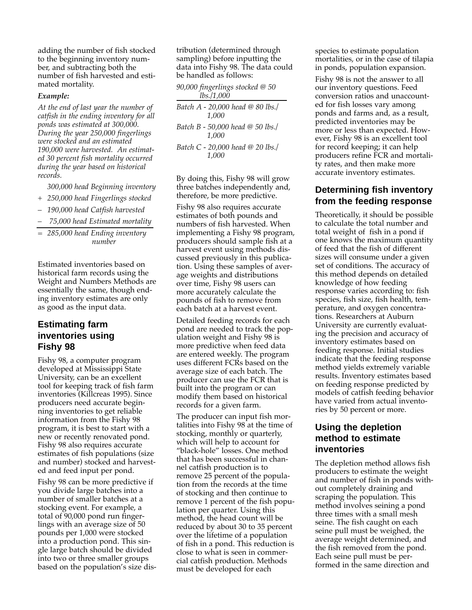adding the number of fish stocked to the beginning inventory number, and subtracting both the number of fish harvested and estimated mortality.

#### *Example:*

*At the end of last year the number of catfish in the ending inventory for all ponds was estimated at 300,000. During the year 250,000 fingerlings were stocked and an estimated 190,000 were harvested. An estimated 30 percent fish mortality occurred during the year based on historical records.* 

*300,000 head Beginning inventory* 

- *+ 250,000 head Fingerlings stocked*
- *– 190,000 head Catfish harvested*
- *– 75,000 head Estimated mortality*
- *= 285,000 head Ending inventory number*

Estimated inventories based on historical farm records using the Weight and Numbers Methods are essentially the same, though ending inventory estimates are only as good as the input data.

# **Estimating farm inventories using Fishy 98**

Fishy 98, a computer program developed at Mississippi State University, can be an excellent tool for keeping track of fish farm inventories (Killcreas 1995). Since producers need accurate beginning inventories to get reliable information from the Fishy 98 program, it is best to start with a new or recently renovated pond. Fishy 98 also requires accurate estimates of fish populations (size and number) stocked and harvested and feed input per pond.

Fishy 98 can be more predictive if you divide large batches into a number of smaller batches at a stocking event. For example, a total of 90,000 pond run fingerlings with an average size of 50 pounds per 1,000 were stocked into a production pond. This single large batch should be divided into two or three smaller groups based on the population's size distribution (determined through sampling) before inputting the data into Fishy 98. The data could be handled as follows:

| 90,000 fingerlings stocked @ 50<br>$lbs.$ /1,000 |
|--------------------------------------------------|
| Batch A - 20,000 head @ 80 lbs./<br>1.000        |
| Batch B - 50,000 head @ 50 lbs./<br>1.000        |
| Batch C - 20,000 head @ 20 lbs./<br>1,000        |

By doing this, Fishy 98 will grow three batches independently and, therefore, be more predictive.

Fishy 98 also requires accurate estimates of both pounds and numbers of fish harvested. When implementing a Fishy 98 program, producers should sample fish at a harvest event using methods discussed previously in this publication. Using these samples of average weights and distributions over time, Fishy 98 users can more accurately calculate the pounds of fish to remove from each batch at a harvest event.

Detailed feeding records for each pond are needed to track the population weight and Fishy 98 is more predictive when feed data are entered weekly. The program uses different FCRs based on the average size of each batch. The producer can use the FCR that is built into the program or can modify them based on historical records for a given farm.

The producer can input fish mortalities into Fishy 98 at the time of stocking, monthly or quarterly, which will help to account for "black-hole" losses. One method that has been successful in channel catfish production is to remove 25 percent of the population from the records at the time of stocking and then continue to remove 1 percent of the fish population per quarter. Using this method, the head count will be reduced by about 30 to 35 percent over the lifetime of a population of fish in a pond. This reduction is close to what is seen in commercial catfish production. Methods must be developed for each

species to estimate population mortalities, or in the case of tilapia in ponds, population expansion.

Fishy 98 is not the answer to all our inventory questions. Feed conversion ratios and unaccounted for fish losses vary among ponds and farms and, as a result, predicted inventories may be more or less than expected. However, Fishy 98 is an excellent tool for record keeping; it can help producers refine FCR and mortality rates, and then make more accurate inventory estimates.

## **Determining fish inventory from the feeding response**

Theoretically, it should be possible to calculate the total number and total weight of fish in a pond if one knows the maximum quantity of feed that the fish of different sizes will consume under a given set of conditions. The accuracy of this method depends on detailed knowledge of how feeding response varies according to: fish species, fish size, fish health, temperature, and oxygen concentrations. Researchers at Auburn University are currently evaluating the precision and accuracy of inventory estimates based on feeding response. Initial studies indicate that the feeding response method yields extremely variable results. Inventory estimates based on feeding response predicted by models of catfish feeding behavior have varied from actual inventories by 50 percent or more.

## **Using the depletion method to estimate inventories**

The depletion method allows fish producers to estimate the weight and number of fish in ponds without completely draining and scraping the population. This method involves seining a pond three times with a small mesh seine. The fish caught on each seine pull must be weighed, the average weight determined, and the fish removed from the pond. Each seine pull must be performed in the same direction and